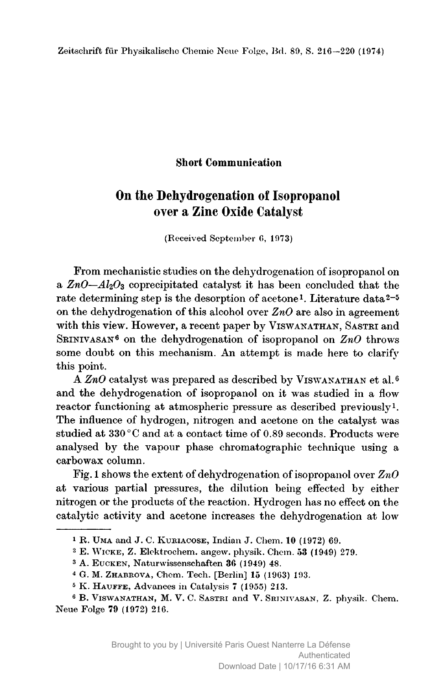## Short Communication

## On the Dehydrogenation of Isopropanol over <sup>a</sup> Zinc Oxide Catalyst

(Received September 6, 1973)

From mechanistic studies on the dehydrogenation of isopropanol on a  $ZnO-Al<sub>2</sub>O<sub>3</sub>$  coprecipitated catalyst it has been concluded that the rate determining step is the desorption of acetone1. Literature data2-5 on the dehydrogenation of this alcohol over  $\mathbb{Z}n\mathbb{O}$  are also in agreement with this view. However, a recent paper by VISWANATHAN, SASTRI and SRINIVASAN<sup>6</sup> on the dehydrogenation of isopropanol on  $ZnO$  throws some doubt on this mechanism. An attempt is made here to clarify this point.

A  $ZnO$  catalyst was prepared as described by VISWANATHAN et al.<sup>6</sup> and the dehydrogenation of isopropanol on it was studied in <sup>a</sup> flow reactor functioning at atmospheric pressure as described previously<sup>1</sup>. The influence of hydrogen, nitrogen and acetone on the catalyst was studied at 330 °C and at a contact time of 0.89 seconds. Products were analysed by the vapour phase chromatographic technique using a carbowax column.

Fig. 1 shows the extent of dehydrogenation of isopropanol over  $ZnO$ at various partial pressures, the dilution being effected by either nitrogen or the products of the reaction. Hydrogen has no effect on the catalytic activity and acetone increases the dehydrogenation at low

<sup>1</sup> R. Uma and J. C. Kuriacose, Indian J. Chem. 10 (1972) 69.

 $2$  E. WICKE, Z. Elektrochem. angew. physik. Chem. 53 (1949) 279.

<sup>3</sup> A. Eucken, Naturwissenschaften 36 (1949) 48.

<sup>4</sup> G. M. Zhabkova, Chem. Tech. [Berlin] <sup>15</sup> (1963) 193.

<sup>&</sup>lt;sup>5</sup> K. HAUFFE, Advances in Catalysis 7 (1955) 213.

<sup>6</sup> B. Viswanathan, M. V. C. Sastri and V. Srinivasan, Z. physik. Chem. Neue Folge 79 (1972) 216.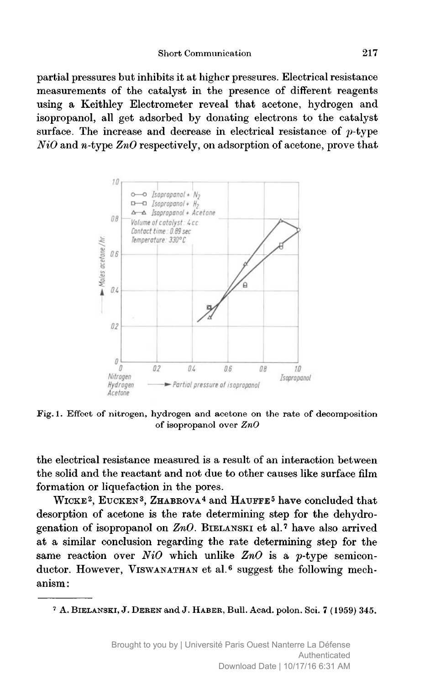partial pressures but inhibits it at higher pressures. Electrical resistance measurements of the catalyst in the presence of different reagents using <sup>a</sup> Keithley Electrometer reveal that acetone, hydrogen and isopropanol, all get adsorbed by donating electrons to the catalyst surface. The increase and decrease in electrical resistance of  $p$ -type  $NiO$  and *n*-type  $ZnO$  respectively, on adsorption of acetone, prove that



Fig. 1. Effect of nitrogen, hydrogen and acetone on the rate of decomposition of isopropanol over ZnO

the electrical resistance measured is a result of an interaction between the solid and the reactant and not due to other causes like surface film formation or liquefaction in the pores.

WICKE<sup>2</sup>, EUCKEN<sup>3</sup>, ZHABROVA<sup>4</sup> and HAUFFE<sup>5</sup> have concluded that desorption of acetone is the rate determining step for the dehydrogenation of isopropanol on  $ZnO$ . BIELANSKI et al.<sup>7</sup> have also arrived at <sup>a</sup> similar conclusion regarding the rate determining step for the same reaction over  $NiO$  which unlike  $ZnO$  is a p-type semiconductor. However, VISWANATHAN et al.<sup>6</sup> suggest the following mechanism :

<sup>&</sup>lt;sup>7</sup> A. BIELANSKI, J. DEREN and J. HABER, Bull. Acad. polon. Sci. 7 (1959) 345.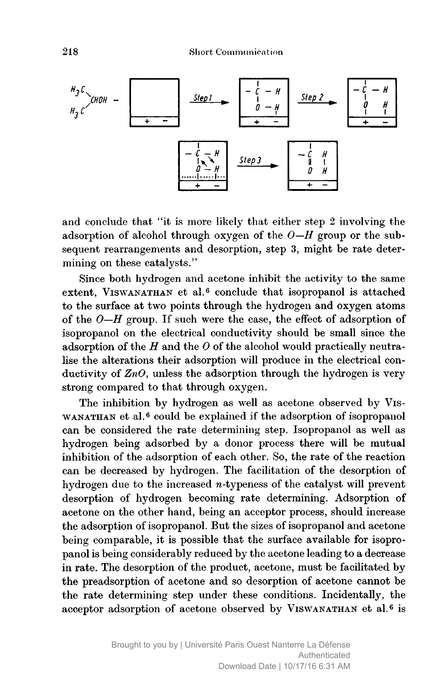

and conclude that "it is more likely that either step <sup>2</sup> involving the adsorption of alcohol through oxygen of the  $O-H$  group or the subsequent rearrangements and desorption, step 3, might be rate determining on these catalysts."

Since both hydrogen and acetone inhibit the activity to the same extent, VISWANATHAN et al.<sup>6</sup> conclude that isopropanol is attached to the surface at two points through the hydrogen and oxygen atoms of the  $0-H$  group. If such were the case, the effect of adsorption of isopropanol on the electrical conductivity should be small since the adsorption of the  $H$  and the  $O$  of the alcohol would practically neutralise the alterations their adsorption will produce in the electrical conductivity of  $ZnO$ , unless the adsorption through the hydrogen is very strong compared to that through oxygen.

The inhibition by hydrogen as well as acetone observed by Vis-WANATHAN et al.<sup>6</sup> could be explained if the adsorption of isopropanol can be considered the rate determining step. Isopropanol as well as hydrogen being adsorbed by <sup>a</sup> donor process there will be mutual inhibition of the adsorption of each other. So, the rate of the reaction can be decreased by hydrogen. The facilitation of the desorption of hydrogen due to the increased  $n$ -typeness of the catalyst will prevent desorption of hydrogen becoming rate determining. Adsorption of acetone on the other hand, being an acceptor process, should increase the adsorption of isopropanol. But the sizes of isopropanol and acetone being comparable, it is possible that the surface available for isopropanol is being considerably reduced by the acetone leading to <sup>a</sup> decrease in rate. The desorption of the product, acetone, must be facilitated by the preadsorption of acetone and so desorption of acetone cannot be the rate determining step under these conditions. Incidentally, the acceptor adsorption of acetone observed by Viswanathan et al.6 is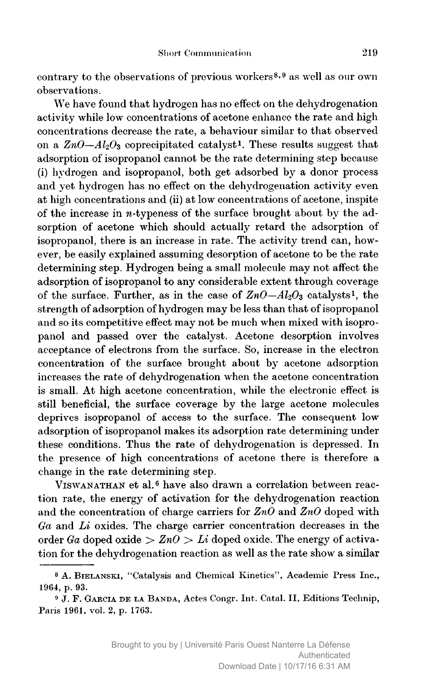contrary to the observations of previous workers<sup>8,9</sup> as well as our own observations.

We have found that hydrogen has no effect on the dehydrogenation activity while low concentrations of acetone enhance the rate and high concentrations decrease the rate, <sup>a</sup> behaviour similar to that observed on a  $ZnO-Al_2O_3$  coprecipitated catalyst<sup>1</sup>. These results suggest that adsorption of isopropanol cannot be the rate determining step because (i) hydrogen and isopropanol, both get adsorbed by <sup>a</sup> donor process and yet hydrogen has no effect on the dehydrogenation activity even at high concentrations and (ii) at low concentrations of acetone, inspite of the increase in  $n$ -typeness of the surface brought about by the adsorption of acetone which should actually retard the adsorption of isopropanol, there is an increase in rate. The activity trend can, however, be easily explained assuming desorption of acetone to be the rate determining step. Hydrogen being <sup>a</sup> small molecule may not affect the adsorption of isopropanol to any considerable extent through coverage of the surface. Further, as in the case of  $ZnO-Al_2O_3$  catalysts<sup>1</sup>, the strength of adsorption of hydrogen may be less than that of isopropanol and so its competitive effect may not be much when mixed with isopropanol and passed over the catalyst. Acetone desorption involves acceptance of electrons from the surface. So, increase in the electron concentration of the surface brought about by acetone adsorption increases the rate of dehydrogenation when the acetone concentration is small. At high acetone concentration, while the electronic effect is still beneficial, the surface coverage by the large acetone molecules deprives isopropanol of access to the surface. The consequent low adsorption of isopropanol makes its adsorption rate determining under these conditions. Thus the rate of dehydrogenation is depressed. In the presence of high concentrations of acetone there is therefore <sup>a</sup> change in the rate determining step.

VISWANATHAN et al.<sup>6</sup> have also drawn a correlation between reaction rate, the energy of activation for the dehydrogenation reaction and the concentration of charge carriers for  $ZnO$  and  $ZnO$  doped with  $Ga$  and  $Li$  oxides. The charge carrier concentration decreases in the order Ga doped oxide  $\geq ZnO \geq Li$  doped oxide. The energy of activation for the dehydrogenation reaction as well as the rate show <sup>a</sup> similar

<sup>&</sup>lt;sup>8</sup> A. BIELANSKI, "Catalysis and Chemical Kinetics", Academic Press Inc., 1964, p. 93.

<sup>&</sup>lt;sup>9</sup> J. F. GARCIA DE LA BANDA, Actes Congr. Int. Catal. II, Editions Technip, Paris 1961, vol. 2, p. 1763.